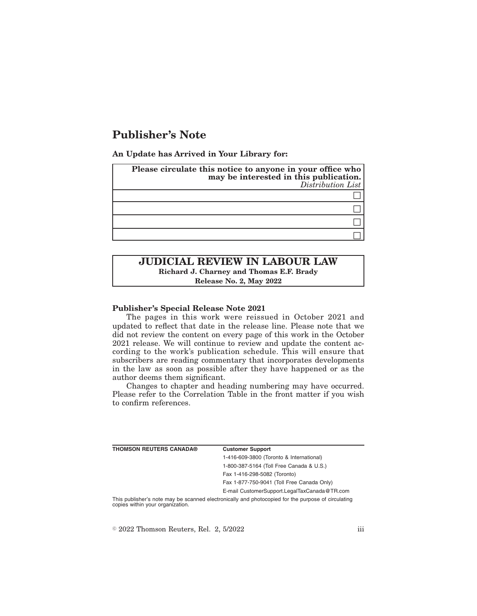# **Publisher's Note**

**An Update has Arrived in Your Library for:**

| Please circulate this notice to anyone in your office who<br>may be interested in this publication.<br>Distribution List |
|--------------------------------------------------------------------------------------------------------------------------|
|                                                                                                                          |
|                                                                                                                          |
|                                                                                                                          |
|                                                                                                                          |

## **JUDICIAL REVIEW IN LABOUR LAW Richard J. Charney and Thomas E.F. Brady Release No. 2, May 2022**

#### **Publisher's Special Release Note 2021**

The pages in this work were reissued in October 2021 and updated to reflect that date in the release line. Please note that we did not review the content on every page of this work in the October 2021 release. We will continue to review and update the content according to the work's publication schedule. This will ensure that subscribers are reading commentary that incorporates developments in the law as soon as possible after they have happened or as the author deems them significant.

Changes to chapter and heading numbering may have occurred. Please refer to the Correlation Table in the front matter if you wish to confirm references.

| <b>THOMSON REUTERS CANADA®</b>   | <b>Customer Support</b>                                                                            |
|----------------------------------|----------------------------------------------------------------------------------------------------|
|                                  | 1-416-609-3800 (Toronto & International)                                                           |
|                                  | 1-800-387-5164 (Toll Free Canada & U.S.)                                                           |
|                                  | Fax 1-416-298-5082 (Toronto)                                                                       |
|                                  | Fax 1-877-750-9041 (Toll Free Canada Only)                                                         |
|                                  | E-mail CustomerSupport.LegalTaxCanada@TR.com                                                       |
| copies within your organization. | This publisher's note may be scanned electronically and photocopied for the purpose of circulating |

 $\degree$  2022 Thomson Reuters, Rel. 2, 5/2022 iii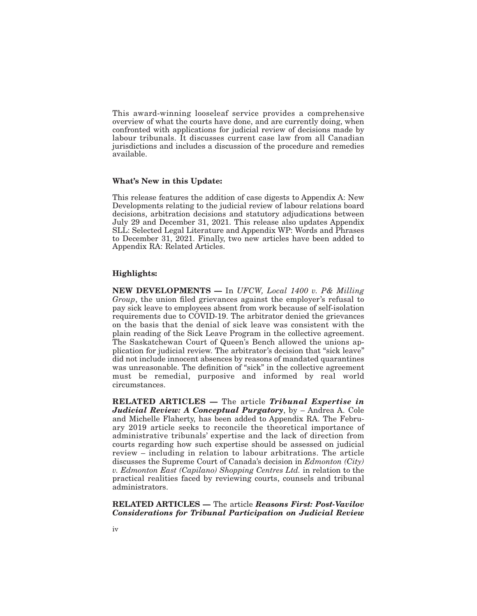This award-winning looseleaf service provides a comprehensive overview of what the courts have done, and are currently doing, when confronted with applications for judicial review of decisions made by labour tribunals. It discusses current case law from all Canadian jurisdictions and includes a discussion of the procedure and remedies available.

#### **What's New in this Update:**

This release features the addition of case digests to Appendix A: New Developments relating to the judicial review of labour relations board decisions, arbitration decisions and statutory adjudications between July 29 and December 31, 2021. This release also updates Appendix SLL: Selected Legal Literature and Appendix WP: Words and Phrases to December 31, 2021. Finally, two new articles have been added to Appendix RA: Related Articles.

### **Highlights:**

**NEW DEVELOPMENTS —** In *UFCW, Local 1400 v. P& Milling Group*, the union filed grievances against the employer's refusal to pay sick leave to employees absent from work because of self-isolation requirements due to COVID-19. The arbitrator denied the grievances on the basis that the denial of sick leave was consistent with the plain reading of the Sick Leave Program in the collective agreement. The Saskatchewan Court of Queen's Bench allowed the unions application for judicial review. The arbitrator's decision that "sick leave" did not include innocent absences by reasons of mandated quarantines was unreasonable. The definition of "sick" in the collective agreement must be remedial, purposive and informed by real world circumstances.

**RELATED ARTICLES —** The article *Tribunal Expertise in Judicial Review: A Conceptual Purgatory*, by – Andrea A. Cole and Michelle Flaherty, has been added to Appendix RA. The February 2019 article seeks to reconcile the theoretical importance of administrative tribunals' expertise and the lack of direction from courts regarding how such expertise should be assessed on judicial review – including in relation to labour arbitrations. The article discusses the Supreme Court of Canada's decision in *Edmonton (City) v. Edmonton East (Capilano) Shopping Centres Ltd.* in relation to the practical realities faced by reviewing courts, counsels and tribunal administrators.

**RELATED ARTICLES —** The article *Reasons First: Post-Vavilov Considerations for Tribunal Participation on Judicial Review*